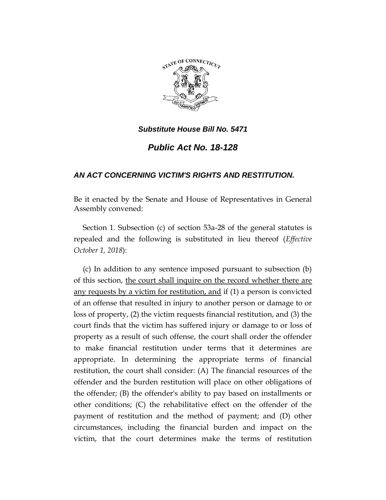

## *Substitute House Bill No. 5471*

*Public Act No. 18-128*

## *AN ACT CONCERNING VICTIM'S RIGHTS AND RESTITUTION.*

Be it enacted by the Senate and House of Representatives in General Assembly convened:

Section 1. Subsection (c) of section 53a-28 of the general statutes is repealed and the following is substituted in lieu thereof (*Effective October 1, 2018*):

(c) In addition to any sentence imposed pursuant to subsection (b) of this section, the court shall inquire on the record whether there are any requests by a victim for restitution, and if (1) a person is convicted of an offense that resulted in injury to another person or damage to or loss of property, (2) the victim requests financial restitution, and (3) the court finds that the victim has suffered injury or damage to or loss of property as a result of such offense, the court shall order the offender to make financial restitution under terms that it determines are appropriate. In determining the appropriate terms of financial restitution, the court shall consider: (A) The financial resources of the offender and the burden restitution will place on other obligations of the offender; (B) the offender's ability to pay based on installments or other conditions; (C) the rehabilitative effect on the offender of the payment of restitution and the method of payment; and (D) other circumstances, including the financial burden and impact on the victim, that the court determines make the terms of restitution